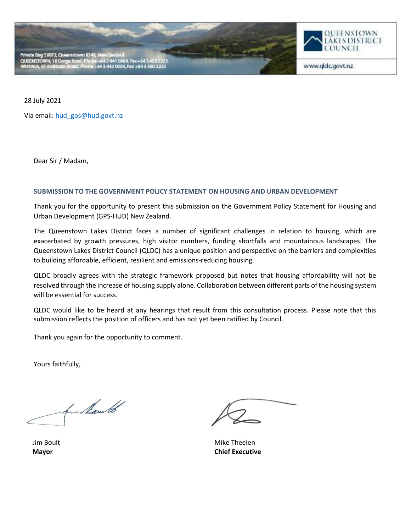



www.qldc.govt.nz

28 July 2021

Via email[: hud\\_gps@hud.govt.nz](mailto:hud_gps@hud.govt.nz)

Dear Sir / Madam,

## **SUBMISSION TO THE GOVERNMENT POLICY STATEMENT ON HOUSING AND URBAN DEVELOPMENT**

Thank you for the opportunity to present this submission on the Government Policy Statement for Housing and Urban Development (GPS-HUD) New Zealand.

The Queenstown Lakes District faces a number of significant challenges in relation to housing, which are exacerbated by growth pressures, high visitor numbers, funding shortfalls and mountainous landscapes. The Queenstown Lakes District Council (QLDC) has a unique position and perspective on the barriers and complexities to building affordable, efficient, resilient and emissions-reducing housing.

QLDC broadly agrees with the strategic framework proposed but notes that housing affordability will not be resolved through the increase of housing supply alone. Collaboration between different parts of the housing system will be essential for success.

QLDC would like to be heard at any hearings that result from this consultation process. Please note that this submission reflects the position of officers and has not yet been ratified by Council.

Thank you again for the opportunity to comment.

Yours faithfully,

funkauto

Jim Boult **Mayor**

Mike Theelen **Chief Executive**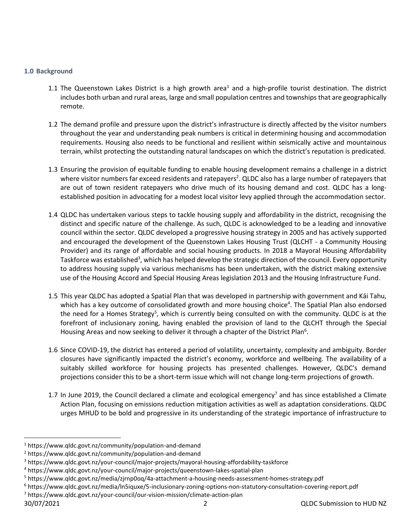## **1.0 Background**

- 1.1 The Queenstown Lakes District is a high growth area<sup>1</sup> and a high-profile tourist destination. The district includes both urban and rural areas, large and small population centres and townships that are geographically remote.
- 1.2 The demand profile and pressure upon the district's infrastructure is directly affected by the visitor numbers throughout the year and understanding peak numbers is critical in determining housing and accommodation requirements. Housing also needs to be functional and resilient within seismically active and mountainous terrain, whilst protecting the outstanding natural landscapes on which the district's reputation is predicated.
- 1.3 Ensuring the provision of equitable funding to enable housing development remains a challenge in a district where visitor numbers far exceed residents and ratepayers<sup>2</sup>. QLDC also has a large number of ratepayers that are out of town resident ratepayers who drive much of its housing demand and cost. QLDC has a longestablished position in advocating for a modest local visitor levy applied through the accommodation sector.
- 1.4 QLDC has undertaken various steps to tackle housing supply and affordability in the district, recognising the distinct and specific nature of the challenge. As such, QLDC is acknowledged to be a leading and innovative council within the sector. QLDC developed a progressive housing strategy in 2005 and has actively supported and encouraged the development of the Queenstown Lakes Housing Trust (QLCHT - a Community Housing Provider) and its range of affordable and social housing products. In 2018 a Mayoral Housing Affordability Taskforce was established<sup>3</sup>, which has helped develop the strategic direction of the council. Every opportunity to address housing supply via various mechanisms has been undertaken, with the district making extensive use of the Housing Accord and Special Housing Areas legislation 2013 and the Housing Infrastructure Fund.
- 1.5 This year QLDC has adopted a Spatial Plan that was developed in partnership with government and Kāi Tahu, which has a key outcome of consolidated growth and more housing choice<sup>4</sup>. The Spatial Plan also endorsed the need for a Homes Strategy<sup>5</sup>, which is currently being consulted on with the community. QLDC is at the forefront of inclusionary zoning, having enabled the provision of land to the QLCHT through the Special Housing Areas and now seeking to deliver it through a chapter of the District Plan<sup>6</sup>.
- 1.6 Since COVID-19, the district has entered a period of volatility, uncertainty, complexity and ambiguity. Border closures have significantly impacted the district's economy, workforce and wellbeing. The availability of a suitably skilled workforce for housing projects has presented challenges. However, QLDC's demand projections consider this to be a short-term issue which will not change long-term projections of growth.
- 1.7 In June 2019, the Council declared a climate and ecological emergency<sup>7</sup> and has since established a Climate Action Plan, focusing on emissions reduction mitigation activities as well as adaptation considerations. QLDC urges MHUD to be bold and progressive in its understanding of the strategic importance of infrastructure to

<sup>1</sup> https://www.qldc.govt.nz/community/population-and-demand

<sup>2</sup> https://www.qldc.govt.nz/community/population-and-demand

<sup>3</sup> https://www.qldc.govt.nz/your-council/major-projects/mayoral-housing-affordability-taskforce

<sup>4</sup> https://www.qldc.govt.nz/your-council/major-projects/queenstown-lakes-spatial-plan

<sup>5</sup> https://www.qldc.govt.nz/media/zjrnp0oq/4a-attachment-a-housing-needs-assessment-homes-strategy.pdf

<sup>6</sup> https://www.qldc.govt.nz/media/ln5iquxe/5-inclusionary-zoning-options-non-statutory-consultation-covering-report.pdf

<sup>7</sup> https://www.qldc.govt.nz/your-council/our-vision-mission/climate-action-plan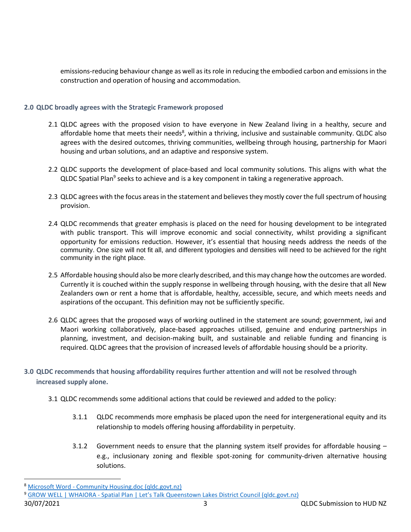emissions-reducing behaviour change as well as its role in reducing the embodied carbon and emissions in the construction and operation of housing and accommodation.

## **2.0 QLDC broadly agrees with the Strategic Framework proposed**

- 2.1 QLDC agrees with the proposed vision to have everyone in New Zealand living in a healthy, secure and affordable home that meets their needs<sup>8</sup>, within a thriving, inclusive and sustainable community. QLDC also agrees with the desired outcomes, thriving communities, wellbeing through housing, partnership for Maori housing and urban solutions, and an adaptive and responsive system.
- 2.2 QLDC supports the development of place-based and local community solutions. This aligns with what the QLDC Spatial Plan<sup>9</sup> seeks to achieve and is a key component in taking a regenerative approach.
- 2.3 QLDC agrees with the focus areas in the statement and believes they mostly cover the full spectrum of housing provision.
- 2.4 QLDC recommends that greater emphasis is placed on the need for housing development to be integrated with public transport. This will improve economic and social connectivity, whilst providing a significant opportunity for emissions reduction. However, it's essential that housing needs address the needs of the community. One size will not fit all, and different typologies and densities will need to be achieved for the right community in the right place.
- 2.5 Affordable housing should also be more clearly described, and this may change how the outcomes are worded. Currently it is couched within the supply response in wellbeing through housing, with the desire that all New Zealanders own or rent a home that is affordable, healthy, accessible, secure, and which meets needs and aspirations of the occupant. This definition may not be sufficiently specific.
- 2.6 QLDC agrees that the proposed ways of working outlined in the statement are sound; government, iwi and Maori working collaboratively, place-based approaches utilised, genuine and enduring partnerships in planning, investment, and decision-making built, and sustainable and reliable funding and financing is required. QLDC agrees that the provision of increased levels of affordable housing should be a priority.
- **3.0 QLDC recommends that housing affordability requires further attention and will not be resolved through increased supply alone.**
	- 3.1 QLDC recommends some additional actions that could be reviewed and added to the policy:
		- 3.1.1 QLDC recommends more emphasis be placed upon the need for intergenerational equity and its relationship to models offering housing affordability in perpetuity.
		- 3.1.2 Government needs to ensure that the planning system itself provides for affordable housing e.g., inclusionary zoning and flexible spot-zoning for community-driven alternative housing solutions.

<sup>8</sup> Microsoft Word - [Community Housing.doc \(qldc.govt.nz\)](https://www.qldc.govt.nz/media/ayfhcet4/hope_affordable_housing_strategy.pdf)

<sup>9</sup> GROW WELL | WHAIORA - [Spatial Plan | Let's Talk Queenstown Lakes District Coun](https://letstalk.qldc.govt.nz/spatial-plan)cil (qldc.govt.nz)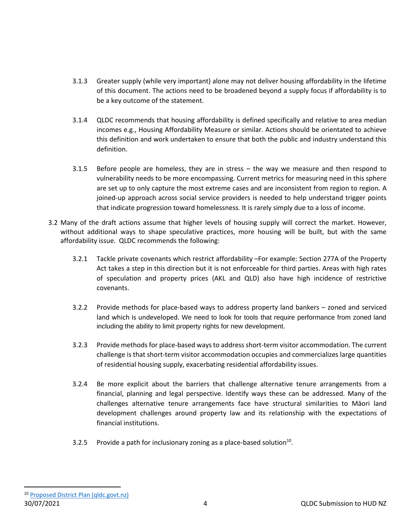- 3.1.3 Greater supply (while very important) alone may not deliver housing affordability in the lifetime of this document. The actions need to be broadened beyond a supply focus if affordability is to be a key outcome of the statement.
- 3.1.4 QLDC recommends that housing affordability is defined specifically and relative to area median incomes e.g., Housing Affordability Measure or similar. Actions should be orientated to achieve this definition and work undertaken to ensure that both the public and industry understand this definition.
- 3.1.5 Before people are homeless, they are in stress the way we measure and then respond to vulnerability needs to be more encompassing. Current metrics for measuring need in this sphere are set up to only capture the most extreme cases and are inconsistent from region to region. A joined-up approach across social service providers is needed to help understand trigger points that indicate progression toward homelessness. It is rarely simply due to a loss of income.
- 3.2 Many of the draft actions assume that higher levels of housing supply will correct the market. However, without additional ways to shape speculative practices, more housing will be built, but with the same affordability issue. QLDC recommends the following:
	- 3.2.1 Tackle private covenants which restrict affordability –For example: Section 277A of the Property Act takes a step in this direction but it is not enforceable for third parties. Areas with high rates of speculation and property prices (AKL and QLD) also have high incidence of restrictive covenants.
	- 3.2.2 Provide methods for place-based ways to address property land bankers zoned and serviced land which is undeveloped. We need to look for tools that require performance from zoned land including the ability to limit property rights for new development.
	- 3.2.3 Provide methods for place-based ways to address short-term visitor accommodation. The current challenge is that short-term visitor accommodation occupies and commercializes large quantities of residential housing supply, exacerbating residential affordability issues.
	- 3.2.4 Be more explicit about the barriers that challenge alternative tenure arrangements from a financial, planning and legal perspective. Identify ways these can be addressed. Many of the challenges alternative tenure arrangements face have structural similarities to Māori land development challenges around property law and its relationship with the expectations of financial institutions.
	- 3.2.5 Provide a path for inclusionary zoning as a place-based solution $^{10}$ .

30/07/2021 4 QLDC Submission to HUD NZ <sup>10</sup> [Proposed District Plan \(qldc.govt.nz\)](https://www.qldc.govt.nz/your-council/district-plan/proposed-district-plan)